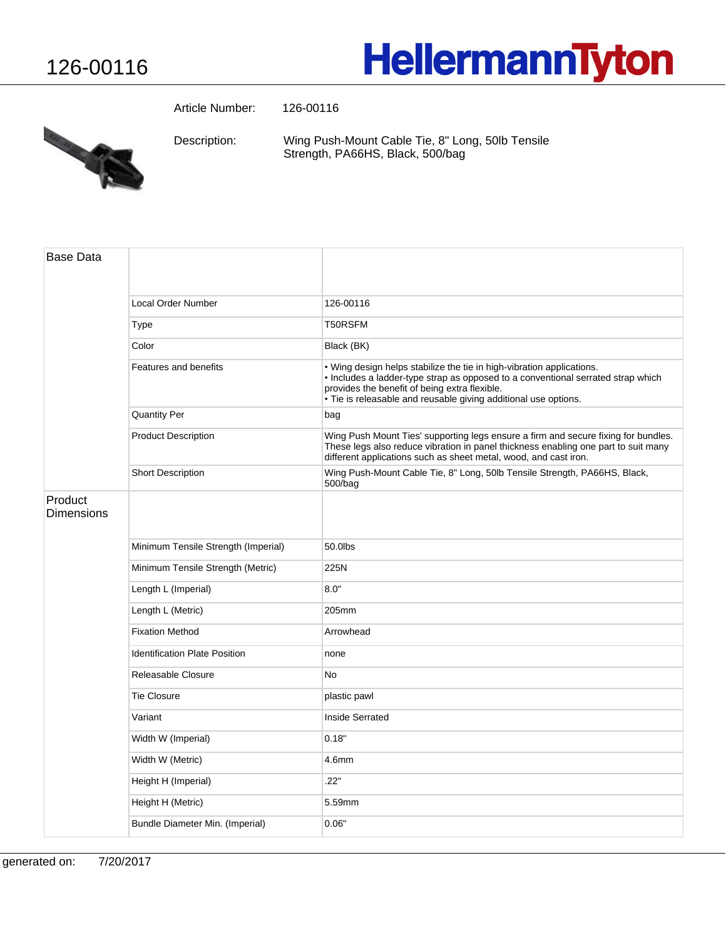## **HellermannTyton**

Article Number: 126-00116



Wing Push-Mount Cable Tie, 8" Long, 50lb Tensile Strength, PA66HS, Black, 500/bag Description:

| <b>Base Data</b>             |                                      |                                                                                                                                                                                                                                                                               |
|------------------------------|--------------------------------------|-------------------------------------------------------------------------------------------------------------------------------------------------------------------------------------------------------------------------------------------------------------------------------|
|                              | Local Order Number                   | 126-00116                                                                                                                                                                                                                                                                     |
|                              | Type                                 | T50RSFM                                                                                                                                                                                                                                                                       |
|                              | Color                                | Black (BK)                                                                                                                                                                                                                                                                    |
|                              | Features and benefits                | . Wing design helps stabilize the tie in high-vibration applications.<br>. Includes a ladder-type strap as opposed to a conventional serrated strap which<br>provides the benefit of being extra flexible.<br>• Tie is releasable and reusable giving additional use options. |
|                              | <b>Quantity Per</b>                  | bag                                                                                                                                                                                                                                                                           |
|                              | <b>Product Description</b>           | Wing Push Mount Ties' supporting legs ensure a firm and secure fixing for bundles.<br>These legs also reduce vibration in panel thickness enabling one part to suit many<br>different applications such as sheet metal, wood, and cast iron.                                  |
|                              | <b>Short Description</b>             | Wing Push-Mount Cable Tie, 8" Long, 50lb Tensile Strength, PA66HS, Black,<br>500/bag                                                                                                                                                                                          |
| Product<br><b>Dimensions</b> |                                      |                                                                                                                                                                                                                                                                               |
|                              | Minimum Tensile Strength (Imperial)  | 50.0lbs                                                                                                                                                                                                                                                                       |
|                              | Minimum Tensile Strength (Metric)    | 225N                                                                                                                                                                                                                                                                          |
|                              | Length L (Imperial)                  | 8.0"                                                                                                                                                                                                                                                                          |
|                              | Length L (Metric)                    | 205mm                                                                                                                                                                                                                                                                         |
|                              | <b>Fixation Method</b>               | Arrowhead                                                                                                                                                                                                                                                                     |
|                              | <b>Identification Plate Position</b> | none                                                                                                                                                                                                                                                                          |
|                              | Releasable Closure                   | <b>No</b>                                                                                                                                                                                                                                                                     |
|                              | <b>Tie Closure</b>                   | plastic pawl                                                                                                                                                                                                                                                                  |
|                              | Variant                              | Inside Serrated                                                                                                                                                                                                                                                               |
|                              | Width W (Imperial)                   | 0.18"                                                                                                                                                                                                                                                                         |
|                              | Width W (Metric)                     | 4.6mm                                                                                                                                                                                                                                                                         |
|                              | Height H (Imperial)                  | .22"                                                                                                                                                                                                                                                                          |
|                              | Height H (Metric)                    | 5.59mm                                                                                                                                                                                                                                                                        |
|                              | Bundle Diameter Min. (Imperial)      | 0.06"                                                                                                                                                                                                                                                                         |